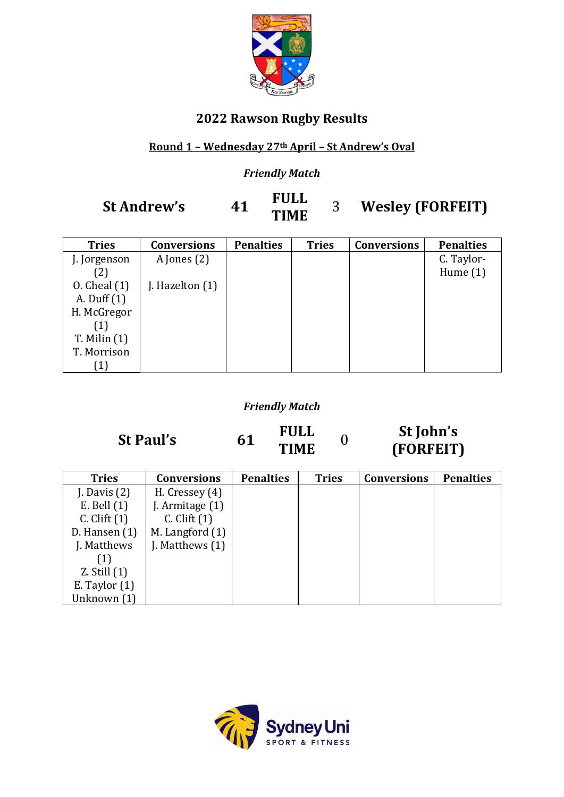

### **2022 Rawson Rugby Results**

#### **Round 1 – Wednesday 27th April – St Andrew's Oval**

#### *Friendly Match*

# **St Andrew's 41 FULL**<br>**TIME**

## **TIME** <sup>3</sup> **Wesley (FORFEIT)**

| <b>Tries</b>      | <b>Conversions</b> | <b>Penalties</b> | <b>Tries</b> | <b>Conversions</b> | <b>Penalties</b> |
|-------------------|--------------------|------------------|--------------|--------------------|------------------|
| J. Jorgenson      | A Jones $(2)$      |                  |              |                    | C. Taylor-       |
| (2)               |                    |                  |              |                    | Hume $(1)$       |
| $0.$ Cheal $(1)$  | J. Hazelton (1)    |                  |              |                    |                  |
| A. Duff (1)       |                    |                  |              |                    |                  |
| H. McGregor       |                    |                  |              |                    |                  |
| $\left( 1\right)$ |                    |                  |              |                    |                  |
| $T.$ Milin $(1)$  |                    |                  |              |                    |                  |
| T. Morrison       |                    |                  |              |                    |                  |
|                   |                    |                  |              |                    |                  |

#### *Friendly Match*

**St Paul's 61**

**FULL TIME** <sup>0</sup>

## **St John's (FORFEIT)**

| <b>Tries</b>     | <b>Conversions</b> | <b>Penalties</b> | <b>Tries</b> | <b>Conversions</b> | <b>Penalties</b> |
|------------------|--------------------|------------------|--------------|--------------------|------------------|
| J. Davis $(2)$   | H. Cressey $(4)$   |                  |              |                    |                  |
| $E.$ Bell $(1)$  | J. Armitage (1)    |                  |              |                    |                  |
| $C.$ Clift $(1)$ | $C.$ Clift $(1)$   |                  |              |                    |                  |
| D. Hansen $(1)$  | M. Langford (1)    |                  |              |                    |                  |
| J. Matthews      | J. Matthews $(1)$  |                  |              |                    |                  |
| (1)              |                    |                  |              |                    |                  |
| $Z.$ Still $(1)$ |                    |                  |              |                    |                  |
| E. Taylor $(1)$  |                    |                  |              |                    |                  |
| Unknown (1)      |                    |                  |              |                    |                  |

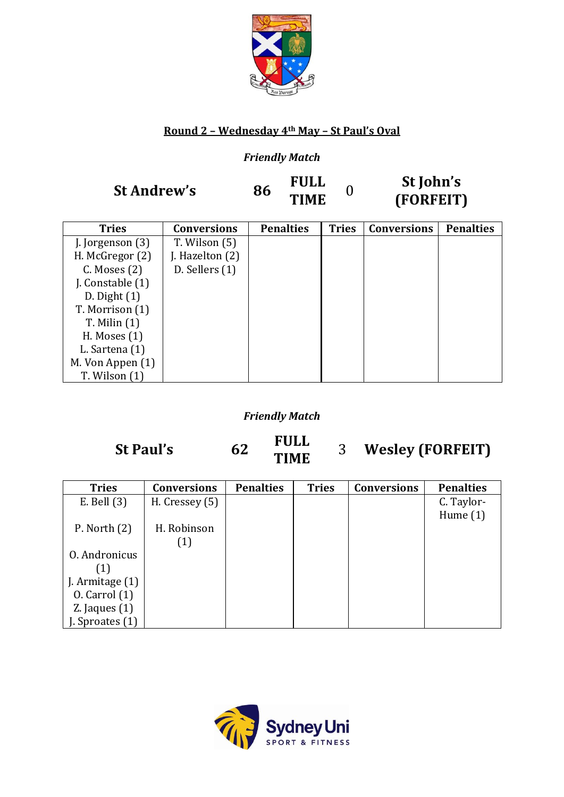

#### **Round 2 – Wednesday 4th May – St Paul's Oval**

#### *Friendly Match*

**St Andrew's 86 FULL** 

**TIME** <sup>0</sup>

**St John's (FORFEIT)**

| <b>Tries</b>       | <b>Conversions</b> | <b>Penalties</b> | <b>Tries</b> | <b>Conversions</b> | <b>Penalties</b> |
|--------------------|--------------------|------------------|--------------|--------------------|------------------|
| J. Jorgenson $(3)$ | T. Wilson (5)      |                  |              |                    |                  |
| H. McGregor (2)    | J. Hazelton (2)    |                  |              |                    |                  |
| $C.$ Moses $(2)$   | $D.$ Sellers $(1)$ |                  |              |                    |                  |
| J. Constable (1)   |                    |                  |              |                    |                  |
| $D.$ Dight $(1)$   |                    |                  |              |                    |                  |
| T. Morrison (1)    |                    |                  |              |                    |                  |
| $T.$ Milin $(1)$   |                    |                  |              |                    |                  |
| H. Moses $(1)$     |                    |                  |              |                    |                  |
| L. Sartena (1)     |                    |                  |              |                    |                  |
| M. Von Appen (1)   |                    |                  |              |                    |                  |
| $T.$ Wilson $(1)$  |                    |                  |              |                    |                  |

#### *Friendly Match*

**St Paul's 62**

**FULL**

**TIME** <sup>3</sup> **Wesley (FORFEIT)**

| <b>Tries</b>      | <b>Conversions</b> | <b>Penalties</b> | <b>Tries</b> | <b>Conversions</b> | <b>Penalties</b> |
|-------------------|--------------------|------------------|--------------|--------------------|------------------|
| $E.$ Bell $(3)$   | H. Cressey (5)     |                  |              |                    | C. Taylor-       |
|                   |                    |                  |              |                    | Hume $(1)$       |
| P. North $(2)$    | H. Robinson        |                  |              |                    |                  |
|                   | (1)                |                  |              |                    |                  |
| 0. Andronicus     |                    |                  |              |                    |                  |
| (1)               |                    |                  |              |                    |                  |
| J. Armitage (1)   |                    |                  |              |                    |                  |
| $0.$ Carrol $(1)$ |                    |                  |              |                    |                  |
| $Z.$ Jaques $(1)$ |                    |                  |              |                    |                  |
| Sproates (1)      |                    |                  |              |                    |                  |

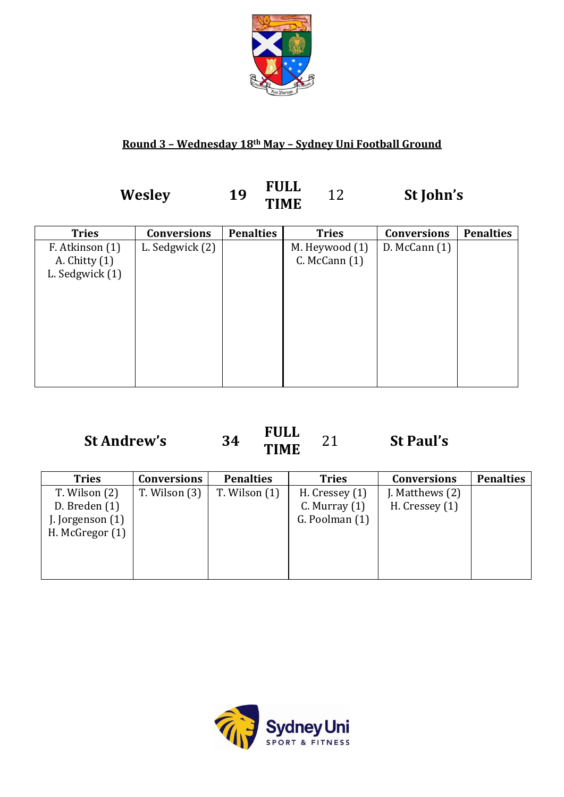

#### **Round 3 – Wednesday 18th May – Sydney Uni Football Ground**

**Wesley <sup>19</sup> FULL**

**TIME** <sup>12</sup> **St John'<sup>s</sup>**

| <b>Tries</b>    | <b>Conversions</b> | <b>Penalties</b> | <b>Tries</b>      | <b>Conversions</b> | <b>Penalties</b> |
|-----------------|--------------------|------------------|-------------------|--------------------|------------------|
| F. Atkinson (1) | L. Sedgwick (2)    |                  | M. Heywood (1)    | $D.$ McCann $(1)$  |                  |
| A. Chitty $(1)$ |                    |                  | $C.$ McCann $(1)$ |                    |                  |
| L. Sedgwick (1) |                    |                  |                   |                    |                  |
|                 |                    |                  |                   |                    |                  |
|                 |                    |                  |                   |                    |                  |
|                 |                    |                  |                   |                    |                  |
|                 |                    |                  |                   |                    |                  |
|                 |                    |                  |                   |                    |                  |
|                 |                    |                  |                   |                    |                  |
|                 |                    |                  |                   |                    |                  |
|                 |                    |                  |                   |                    |                  |

## **St Andrew'<sup>s</sup> <sup>34</sup> FULL TIME** <sup>21</sup> **St Paul'<sup>s</sup>**

| <b>Tries</b>       | <b>Conversions</b> | <b>Penalties</b>  | <b>Tries</b>      | <b>Conversions</b> | <b>Penalties</b> |
|--------------------|--------------------|-------------------|-------------------|--------------------|------------------|
| $T.$ Wilson $(2)$  | T. Wilson (3)      | $T.$ Wilson $(1)$ | H. Cressey $(1)$  | J. Matthews $(2)$  |                  |
| D. Breden $(1)$    |                    |                   | $C.$ Murray $(1)$ | H. Cressey $(1)$   |                  |
| J. Jorgenson $(1)$ |                    |                   | G. Poolman (1)    |                    |                  |
| H. McGregor $(1)$  |                    |                   |                   |                    |                  |
|                    |                    |                   |                   |                    |                  |
|                    |                    |                   |                   |                    |                  |
|                    |                    |                   |                   |                    |                  |